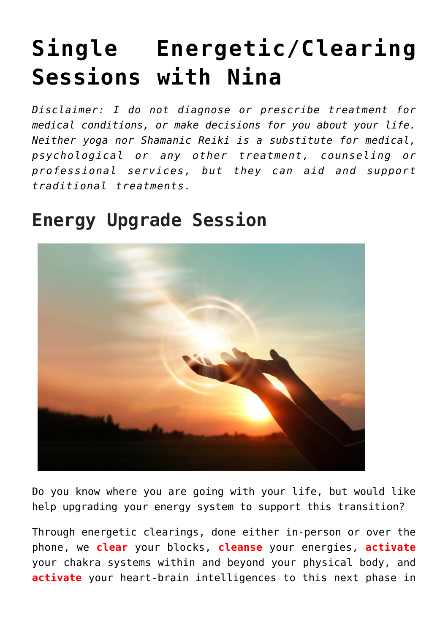# **[Single Energetic/Clearing](https://beinghumanlife.com/work-with-nina/single-sessions-with-nina/) [Sessions with Nina](https://beinghumanlife.com/work-with-nina/single-sessions-with-nina/)**

*Disclaimer: I do not diagnose or prescribe treatment for medical conditions, or make decisions for you about your life. Neither yoga nor Shamanic Reiki is a substitute for medical, psychological or any other treatment, counseling or professional services, but they can aid and support traditional treatments.*

### **Energy Upgrade Session**



Do you know where you are going with your life, but would like help upgrading your energy system to support this transition?

Through energetic clearings, done either in-person or over the phone, we **clear** your blocks, **cleanse** your energies, **activate** your chakra systems within and beyond your physical body, and **activate** your heart-brain intelligences to this next phase in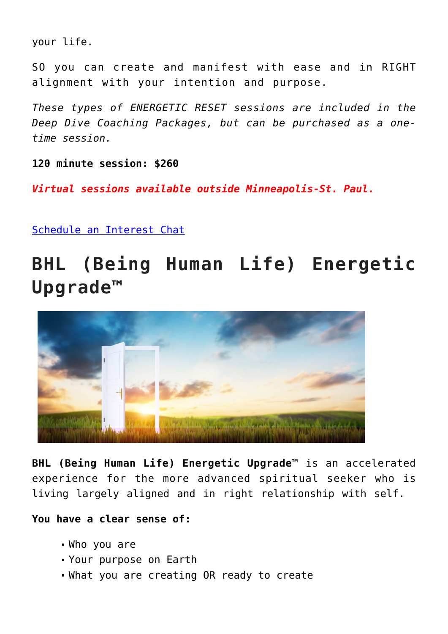your life.

SO you can create and manifest with ease and in RIGHT alignment with your intention and purpose.

*These types of ENERGETIC RESET sessions are included in the Deep Dive Coaching Packages, but can be purchased as a onetime session.*

**120 minute session: \$260**

*Virtual sessions available outside Minneapolis-St. Paul.* 

[Schedule an Interest Chat](http://beinghumanlife.com/contact/)

### **BHL (Being Human Life) Energetic Upgrade™**



**BHL (Being Human Life) Energetic Upgrade™** is an accelerated experience for the more advanced spiritual seeker who is living largely aligned and in right relationship with self.

**You have a clear sense of:**

- Who you are
- Your purpose on Earth
- What you are creating OR ready to create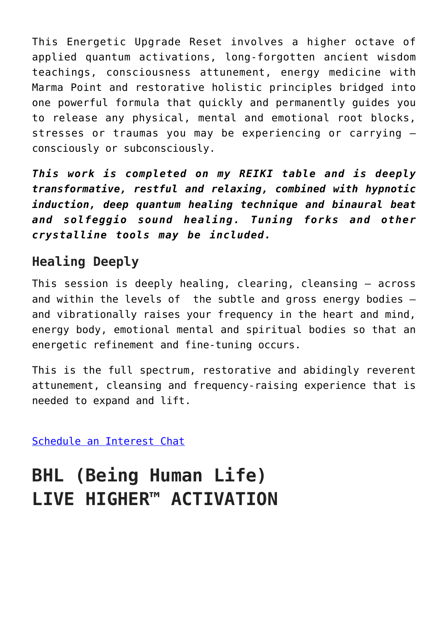This Energetic Upgrade Reset involves a higher octave of applied quantum activations, long-forgotten ancient wisdom teachings, consciousness attunement, energy medicine with Marma Point and restorative holistic principles bridged into one powerful formula that quickly and permanently guides you to release any physical, mental and emotional root blocks, stresses or traumas you may be experiencing or carrying – consciously or subconsciously.

*This work is completed on my REIKI table and is deeply transformative, restful and relaxing, combined with hypnotic induction, deep quantum healing technique and binaural beat and solfeggio sound healing. Tuning forks and other crystalline tools may be included.* 

#### **Healing Deeply**

This session is deeply healing, clearing, cleansing – across and within the levels of the subtle and gross energy bodies – and vibrationally raises your frequency in the heart and mind, energy body, emotional mental and spiritual bodies so that an energetic refinement and fine-tuning occurs.

This is the full spectrum, restorative and abidingly reverent attunement, cleansing and frequency-raising experience that is needed to expand and lift.

[Schedule an Interest Chat](http://beinghumanlife.com/contact/)

## **BHL (Being Human Life) LIVE HIGHER™ ACTIVATION**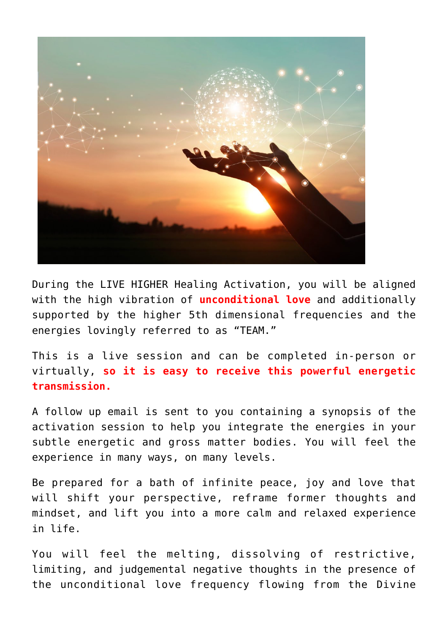

During the LIVE HIGHER Healing Activation, you will be aligned with the high vibration of **unconditional love** and additionally supported by the higher 5th dimensional frequencies and the energies lovingly referred to as "TEAM."

This is a live session and can be completed in-person or virtually, **so it is easy to receive this powerful energetic transmission.**

A follow up email is sent to you containing a synopsis of the activation session to help you integrate the energies in your subtle energetic and gross matter bodies. You will feel the experience in many ways, on many levels.

Be prepared for a bath of infinite peace, joy and love that will shift your perspective, reframe former thoughts and mindset, and lift you into a more calm and relaxed experience in life.

You will feel the melting, dissolving of restrictive, limiting, and judgemental negative thoughts in the presence of the unconditional love frequency flowing from the Divine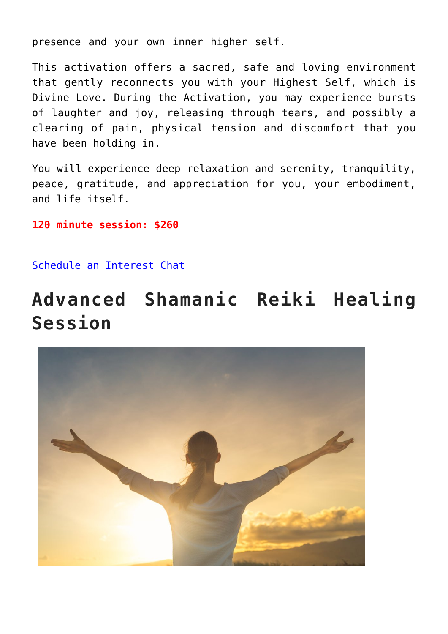presence and your own inner higher self.

This activation offers a sacred, safe and loving environment that gently reconnects you with your Highest Self, which is Divine Love. During the Activation, you may experience bursts of laughter and joy, releasing through tears, and possibly a clearing of pain, physical tension and discomfort that you have been holding in.

You will experience deep relaxation and serenity, tranquility, peace, gratitude, and appreciation for you, your embodiment, and life itself.

**120 minute session: \$260**

[Schedule an Interest Chat](http://beinghumanlife.com/contact/)

### **Advanced Shamanic Reiki Healing Session**